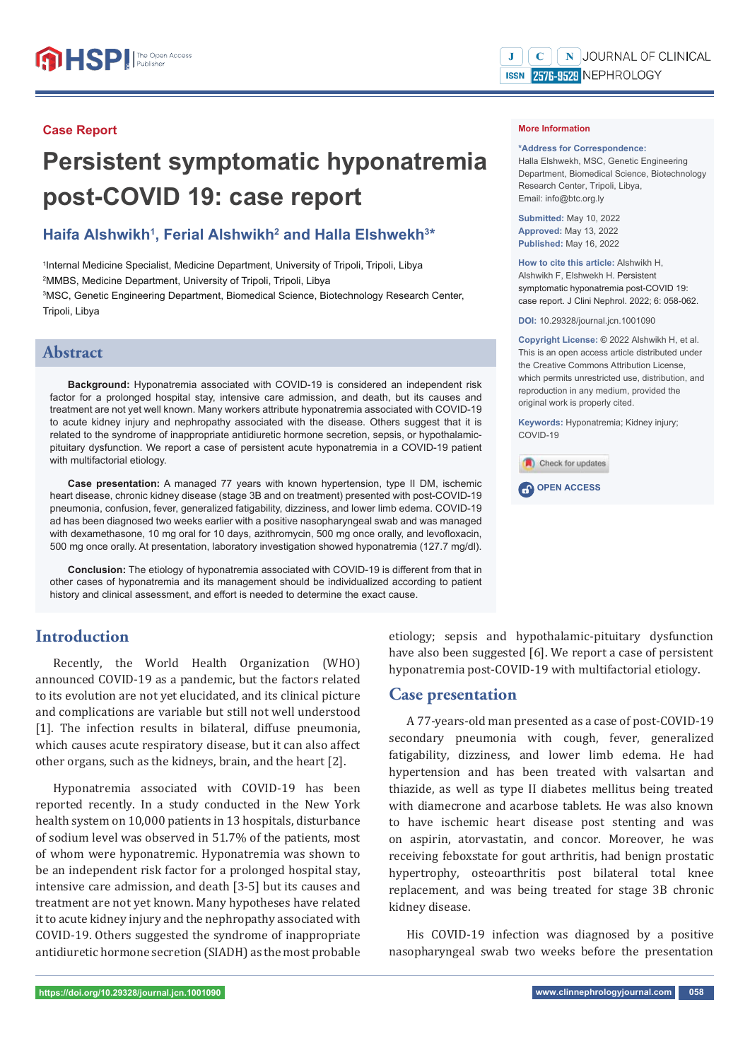# **Persistent symptomatic hyponatremia post-COVID 19: case report**

# Haifa Alshwikh<sup>1</sup>, Ferial Alshwikh<sup>2</sup> and Halla Elshwekh<sup>3\*</sup>

 Internal Medicine Specialist, Medicine Department, University of Tripoli, Tripoli, Libya MMBS, Medicine Department, University of Tripoli, Tripoli, Libya MSC, Genetic Engineering Department, Biomedical Science, Biotechnology Research Center, Tripoli, Libya

## **Abstract**

**Background:** Hyponatremia associated with COVID-19 is considered an independent risk factor for a prolonged hospital stay, intensive care admission, and death, but its causes and treatment are not yet well known. Many workers attribute hyponatremia associated with COVID-19 to acute kidney injury and nephropathy associated with the disease. Others suggest that it is related to the syndrome of inappropriate antidiuretic hormone secretion, sepsis, or hypothalamicpituitary dysfunction. We report a case of persistent acute hyponatremia in a COVID-19 patient with multifactorial etiology.

**Case presentation:** A managed 77 years with known hypertension, type II DM, ischemic heart disease, chronic kidney disease (stage 3B and on treatment) presented with post-COVID-19 pneumonia, confusion, fever, generalized fatigability, dizziness, and lower limb edema. COVID-19 ad has been diagnosed two weeks earlier with a positive nasopharyngeal swab and was managed with dexamethasone, 10 mg oral for 10 days, azithromycin, 500 mg once orally, and levofloxacin, 500 mg once orally. At presentation, laboratory investigation showed hyponatremia (127.7 mg/dl).

**Conclusion:** The etiology of hyponatremia associated with COVID-19 is different from that in other cases of hyponatremia and its management should be individualized according to patient history and clinical assessment, and effort is needed to determine the exact cause.

## **Introduction**

Recently, the World Health Organization (WHO) announced COVID-19 as a pandemic, but the factors related to its evolution are not yet elucidated, and its clinical picture and complications are variable but still not well understood [1]. The infection results in bilateral, diffuse pneumonia, which causes acute respiratory disease, but it can also affect other organs, such as the kidneys, brain, and the heart [2].

Hyponatremia associated with COVID-19 has been reported recently. In a study conducted in the New York health system on 10,000 patients in 13 hospitals, disturbance of sodium level was observed in 51.7% of the patients, most of whom were hyponatremic. Hyponatremia was shown to be an independent risk factor for a prolonged hospital stay, intensive care admission, and death [3-5] but its causes and treatment are not yet known. Many hypotheses have related it to acute kidney injury and the nephropathy associated with COVID-19. Others suggested the syndrome of inappropriate antidiuretic hormone secretion (SIADH) as the most probable

#### $\mathbf{C}$  | N JOURNAL OF CLINICAL  $\mathbf{J}$ ISSN 2576-9529 NEPHROLOGY

#### **More Information**

**\*Address for Correspondence:** 

Halla Elshwekh, MSC, Genetic Engineering Department, Biomedical Science, Biotechnology Research Center, Tripoli, Libya, Email: info@btc.org.ly

**Submitted:** May 10, 2022 **Approved:** May 13, 2022 **Published:** May 16, 2022

**How to cite this article:** Alshwikh H, Alshwikh F, Elshwekh H. Persistent symptomatic hyponatremia post-COVID 19: case report. J Clini Nephrol. 2022; 6: 058-062.

**DOI:** 10.29328/journal.jcn.1001090

**Copyright License: ©** 2022 Alshwikh H, et al. This is an open access article distributed under the Creative Commons Attribution License, which permits unrestricted use, distribution, and reproduction in any medium, provided the original work is properly cited.

**Keywords:** Hyponatremia; Kidney injury; COVID-19



**OPEN ACCESS** 

etiology; sepsis and hypothalamic-pituitary dysfunction have also been suggested [6]. We report a case of persistent hyponatremia post-COVID-19 with multifactorial etiology.

## **Case presentation**

A 77-years-old man presented as a case of post-COVID-19 secondary pneumonia with cough, fever, generalized fatigability, dizziness, and lower limb edema. He had hypertension and has been treated with valsartan and thiazide, as well as type II diabetes mellitus being treated with diamecrone and acarbose tablets. He was also known to have ischemic heart disease post stenting and was on aspirin, atorvastatin, and concor. Moreover, he was receiving feboxstate for gout arthritis, had benign prostatic hypertrophy, osteoarthritis post bilateral total knee replacement, and was being treated for stage 3B chronic kidney disease.

His COVID-19 infection was diagnosed by a positive nasopharyngeal swab two weeks before the presentation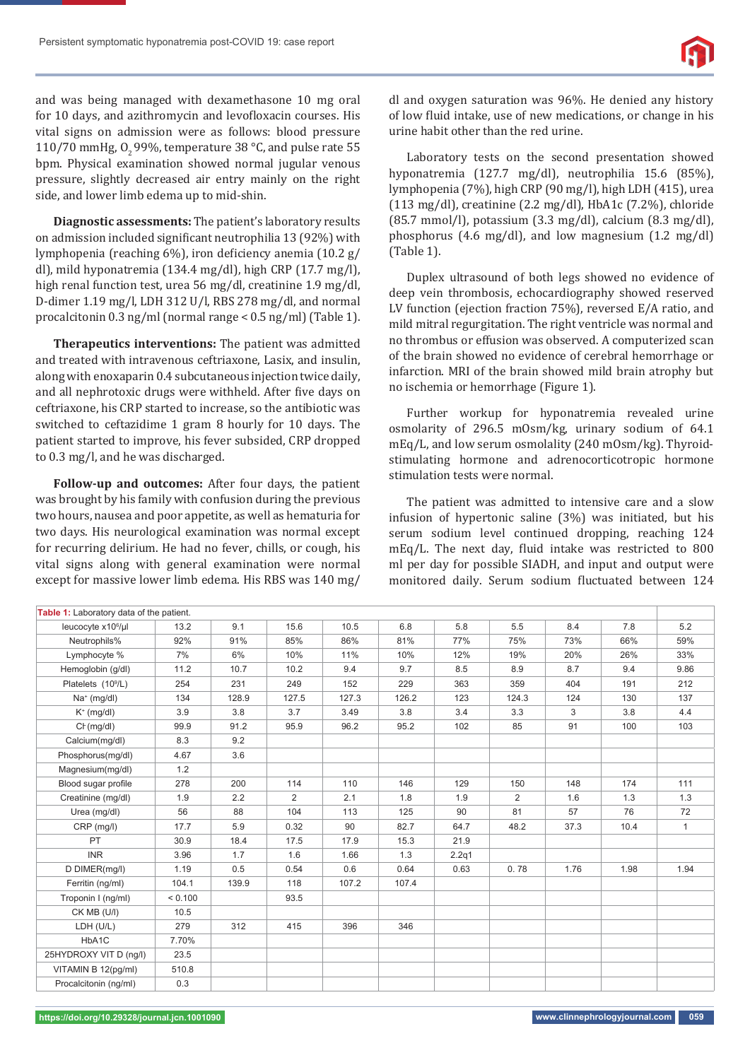and was being managed with dexamethasone 10 mg oral for 10 days, and azithromycin and levofloxacin courses. His vital signs on admission were as follows: blood pressure 110/70 mmHg,  $0,99\%$ , temperature 38 °C, and pulse rate 55 bpm. Physical examination showed normal jugular venous pressure, slightly decreased air entry mainly on the right side, and lower limb edema up to mid-shin.

**Diagnostic assessments:** The patient's laboratory results on admission included significant neutrophilia 13 (92%) with lymphopenia (reaching 6%), iron deficiency anemia (10.2 g/ dl), mild hyponatremia (134.4 mg/dl), high CRP (17.7 mg/l), high renal function test, urea 56 mg/dl, creatinine 1.9 mg/dl, D-dimer 1.19 mg/l, LDH 312 U/l, RBS 278 mg/dl, and normal procalcitonin 0.3 ng/ml (normal range < 0.5 ng/ml) (Table 1).

**Therapeutics interventions:** The patient was admitted and treated with intravenous ceftriaxone, Lasix, and insulin, along with enoxaparin 0.4 subcutaneous injection twice daily, and all nephrotoxic drugs were withheld. After five days on ceftriaxone, his CRP started to increase, so the antibiotic was switched to ceftazidime 1 gram 8 hourly for 10 days. The patient started to improve, his fever subsided, CRP dropped to 0.3 mg/l, and he was discharged.

**Follow-up and outcomes:** After four days, the patient was brought by his family with confusion during the previous two hours, nausea and poor appetite, as well as hematuria for two days. His neurological examination was normal except for recurring delirium. He had no fever, chills, or cough, his vital signs along with general examination were normal except for massive lower limb edema. His RBS was 140 mg/

dl and oxygen saturation was 96%. He denied any history of low fluid intake, use of new medications, or change in his urine habit other than the red urine.

Laboratory tests on the second presentation showed hyponatremia (127.7 mg/dl), neutrophilia 15.6 (85%), lymphopenia (7%), high CRP (90 mg/l), high LDH (415), urea  $(113 \text{ mg/dl})$ , creatinine  $(2.2 \text{ mg/dl})$ , HbA1c  $(7.2\%)$ , chloride (85.7 mmol/l), potassium (3.3 mg/dl), calcium (8.3 mg/dl), phosphorus (4.6 mg/dl), and low magnesium (1.2 mg/dl) (Table 1).

Duplex ultrasound of both legs showed no evidence of deep vein thrombosis, echocardiography showed reserved LV function (ejection fraction 75%), reversed E/A ratio, and mild mitral regurgitation. The right ventricle was normal and no thrombus or effusion was observed. A computerized scan of the brain showed no evidence of cerebral hemorrhage or infarction. MRI of the brain showed mild brain atrophy but no ischemia or hemorrhage (Figure 1).

Further workup for hyponatremia revealed urine osmolarity of 296.5 mOsm/kg, urinary sodium of 64.1 mEq/L, and low serum osmolality (240 mOsm/kg). Thyroidstimulating hormone and adrenocorticotropic hormone stimulation tests were normal.

The patient was admitted to intensive care and a slow infusion of hypertonic saline (3%) was initiated, but his serum sodium level continued dropping, reaching 124 mEq/L. The next day, fluid intake was restricted to 800 ml per day for possible SIADH, and input and output were monitored daily. Serum sodium fluctuated between 124

| Table 1: Laboratory data of the patient. |         |       |       |       |       |       |                |      |      |              |
|------------------------------------------|---------|-------|-------|-------|-------|-------|----------------|------|------|--------------|
| leucocyte x10 <sup>6</sup> /µl           | 13.2    | 9.1   | 15.6  | 10.5  | 6.8   | 5.8   | 5.5            | 8.4  | 7.8  | 5.2          |
| Neutrophils%                             | 92%     | 91%   | 85%   | 86%   | 81%   | 77%   | 75%            | 73%  | 66%  | 59%          |
| Lymphocyte %                             | 7%      | 6%    | 10%   | 11%   | 10%   | 12%   | 19%            | 20%  | 26%  | 33%          |
| Hemoglobin (g/dl)                        | 11.2    | 10.7  | 10.2  | 9.4   | 9.7   | 8.5   | 8.9            | 8.7  | 9.4  | 9.86         |
| Platelets (10 <sup>9</sup> /L)           | 254     | 231   | 249   | 152   | 229   | 363   | 359            | 404  | 191  | 212          |
| $Na^+$ (mg/dl)                           | 134     | 128.9 | 127.5 | 127.3 | 126.2 | 123   | 124.3          | 124  | 130  | 137          |
| $K^+$ (mg/dl)                            | 3.9     | 3.8   | 3.7   | 3.49  | 3.8   | 3.4   | 3.3            | 3    | 3.8  | 4.4          |
| $C_F(mg/dl)$                             | 99.9    | 91.2  | 95.9  | 96.2  | 95.2  | 102   | 85             | 91   | 100  | 103          |
| Calcium(mg/dl)                           | 8.3     | 9.2   |       |       |       |       |                |      |      |              |
| Phosphorus(mg/dl)                        | 4.67    | 3.6   |       |       |       |       |                |      |      |              |
| Magnesium(mg/dl)                         | 1.2     |       |       |       |       |       |                |      |      |              |
| Blood sugar profile                      | 278     | 200   | 114   | 110   | 146   | 129   | 150            | 148  | 174  | 111          |
| Creatinine (mg/dl)                       | 1.9     | 2.2   | 2     | 2.1   | 1.8   | 1.9   | $\overline{2}$ | 1.6  | 1.3  | 1.3          |
| Urea (mg/dl)                             | 56      | 88    | 104   | 113   | 125   | 90    | 81             | 57   | 76   | 72           |
| CRP (mg/l)                               | 17.7    | 5.9   | 0.32  | 90    | 82.7  | 64.7  | 48.2           | 37.3 | 10.4 | $\mathbf{1}$ |
| PT                                       | 30.9    | 18.4  | 17.5  | 17.9  | 15.3  | 21.9  |                |      |      |              |
| <b>INR</b>                               | 3.96    | 1.7   | 1.6   | 1.66  | 1.3   | 2.2q1 |                |      |      |              |
| D DIMER(mg/l)                            | 1.19    | 0.5   | 0.54  | 0.6   | 0.64  | 0.63  | 0.78           | 1.76 | 1.98 | 1.94         |
| Ferritin (ng/ml)                         | 104.1   | 139.9 | 118   | 107.2 | 107.4 |       |                |      |      |              |
| Troponin I (ng/ml)                       | < 0.100 |       | 93.5  |       |       |       |                |      |      |              |
| CK MB (U/I)                              | 10.5    |       |       |       |       |       |                |      |      |              |
| LDH (U/L)                                | 279     | 312   | 415   | 396   | 346   |       |                |      |      |              |
| HbA1C                                    | 7.70%   |       |       |       |       |       |                |      |      |              |
| 25HYDROXY VIT D (nq/l)                   | 23.5    |       |       |       |       |       |                |      |      |              |
| VITAMIN B 12(pg/ml)                      | 510.8   |       |       |       |       |       |                |      |      |              |
| Procalcitonin (ng/ml)                    | 0.3     |       |       |       |       |       |                |      |      |              |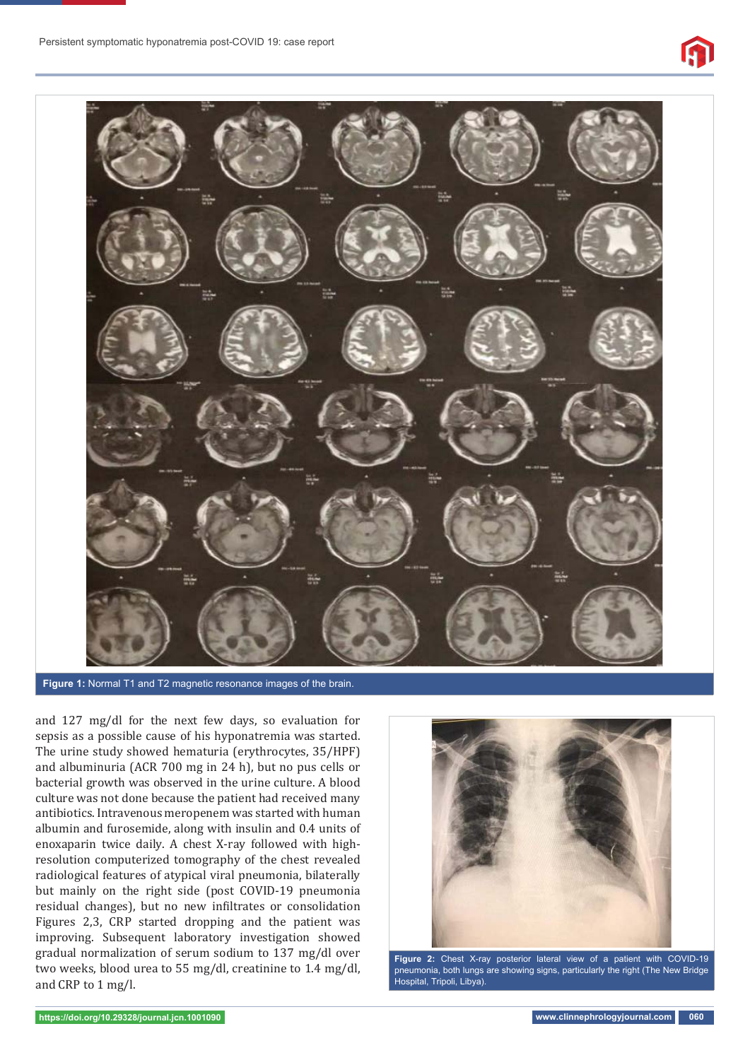



**Figure 1:** Normal T1 and T2 magnetic resonance images of the brain.

and 127 mg/dl for the next few days, so evaluation for sepsis as a possible cause of his hyponatremia was started. The urine study showed hematuria (erythrocytes, 35/HPF) and albuminuria (ACR 700 mg in 24 h), but no pus cells or bacterial growth was observed in the urine culture. A blood culture was not done because the patient had received many antibiotics. Intravenous meropenem was started with human albumin and furosemide, along with insulin and 0.4 units of enoxaparin twice daily. A chest X-ray followed with highresolution computerized tomography of the chest revealed radiological features of atypical viral pneumonia, bilaterally but mainly on the right side (post COVID-19 pneumonia residual changes), but no new infiltrates or consolidation Figures 2,3, CRP started dropping and the patient was improving. Subsequent laboratory investigation showed gradual normalization of serum sodium to 137 mg/dl over two weeks, blood urea to 55 mg/dl, creatinine to 1.4 mg/dl, and CRP to 1 mg/l.



**Figure 2:** Chest X-ray posterior lateral view of a patient with COVID-19 pneumonia, both lungs are showing signs, particularly the right (The New Bridge Hospital, Tripoli, Libya).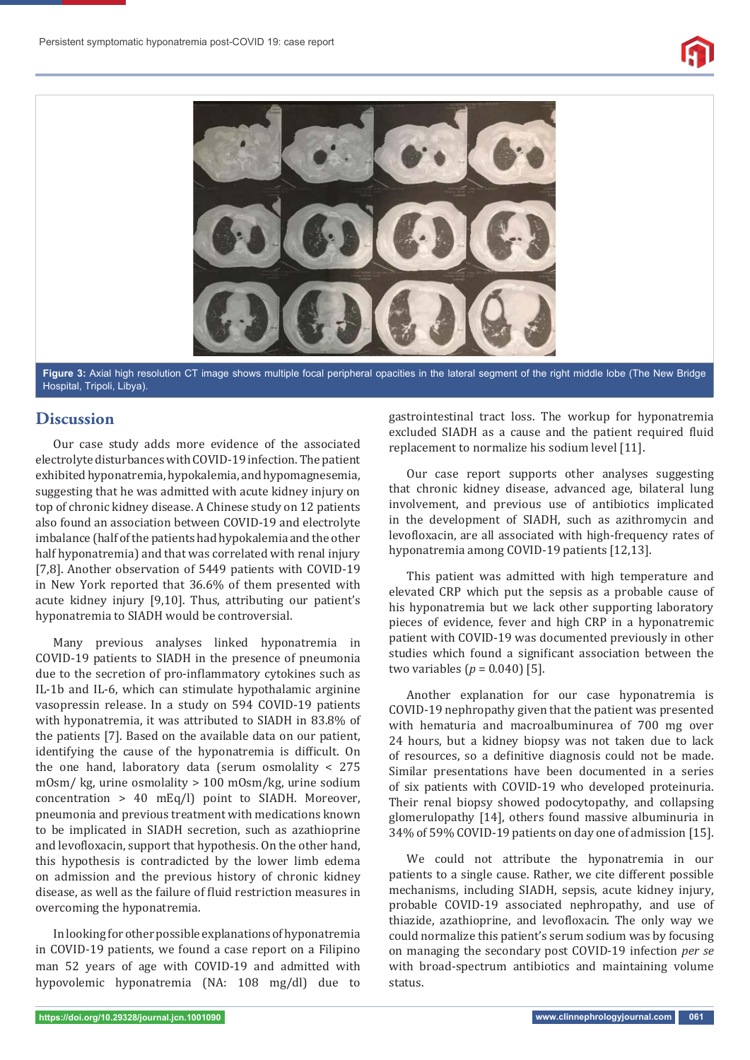



**Figure 3:** Axial high resolution CT image shows multiple focal peripheral opacities in the lateral segment of the right middle lobe (The New Bridge Hospital, Tripoli, Libya).

#### **Discussion**

Our case study adds more evidence of the associated electrolyte disturbances with COVID-19 infection. The patient exhibited hyponatremia, hypokalemia, and hypomagnesemia, suggesting that he was admitted with acute kidney injury on top of chronic kidney disease. A Chinese study on 12 patients also found an association between COVID-19 and electrolyte imbalance (half of the patients had hypokalemia and the other half hyponatremia) and that was correlated with renal injury [7,8]. Another observation of 5449 patients with COVID-19 in New York reported that 36.6% of them presented with acute kidney injury [9,10]. Thus, attributing our patient's hyponatremia to SIADH would be controversial.

Many previous analyses linked hyponatremia in COVID-19 patients to SIADH in the presence of pneumonia due to the secretion of pro-inflammatory cytokines such as IL-1b and IL-6, which can stimulate hypothalamic arginine vasopressin release. In a study on 594 COVID-19 patients with hyponatremia, it was attributed to SIADH in 83.8% of the patients [7]. Based on the available data on our patient, identifying the cause of the hyponatremia is difficult. On the one hand, laboratory data (serum osmolality < 275 mOsm/ kg, urine osmolality > 100 mOsm/kg, urine sodium concentration > 40 mEq/l) point to SIADH. Moreover, pneumonia and previous treatment with medications known to be implicated in SIADH secretion, such as azathioprine and levofloxacin, support that hypothesis. On the other hand, this hypothesis is contradicted by the lower limb edema on admission and the previous history of chronic kidney disease, as well as the failure of fluid restriction measures in overcoming the hyponatremia.

In looking for other possible explanations of hyponatremia in COVID-19 patients, we found a case report on a Filipino man 52 years of age with COVID-19 and admitted with hypovolemic hyponatremia (NA: 108 mg/dl) due to

gastrointestinal tract loss. The workup for hyponatremia excluded SIADH as a cause and the patient required fluid replacement to normalize his sodium level [11].

Our case report supports other analyses suggesting that chronic kidney disease, advanced age, bilateral lung involvement, and previous use of antibiotics implicated in the development of SIADH, such as azithromycin and levofloxacin, are all associated with high-frequency rates of hyponatremia among COVID-19 patients [12,13].

This patient was admitted with high temperature and elevated CRP which put the sepsis as a probable cause of his hyponatremia but we lack other supporting laboratory pieces of evidence, fever and high CRP in a hyponatremic patient with COVID-19 was documented previously in other studies which found a significant association between the two variables  $(p = 0.040)$  [5].

Another explanation for our case hyponatremia is COVID-19 nephropathy given that the patient was presented with hematuria and macroalbuminurea of 700 mg over 24 hours, but a kidney biopsy was not taken due to lack of resources, so a definitive diagnosis could not be made. Similar presentations have been documented in a series of six patients with COVID-19 who developed proteinuria. Their renal biopsy showed podocytopathy, and collapsing glomerulopathy [14], others found massive albuminuria in 34% of 59% COVID-19 patients on day one of admission [15].

We could not attribute the hyponatremia in our patients to a single cause. Rather, we cite different possible mechanisms, including SIADH, sepsis, acute kidney injury, probable COVID-19 associated nephropathy, and use of thiazide, azathioprine, and levofloxacin. The only way we could normalize this patient's serum sodium was by focusing on managing the secondary post COVID-19 infection *per se* with broad-spectrum antibiotics and maintaining volume status.